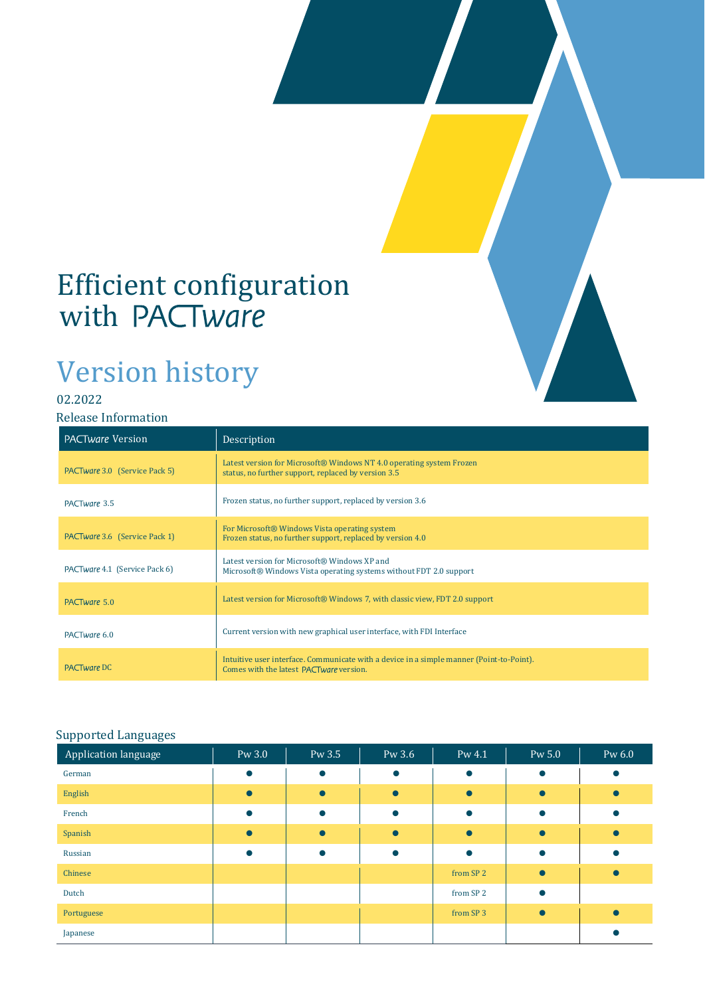## Efficient configuration with

# Version history

### 02.2022

#### Release Information

| <b>PACTware Version</b>       | Description                                                                                                                         |
|-------------------------------|-------------------------------------------------------------------------------------------------------------------------------------|
| PACTware 3.0 (Service Pack 5) | Latest version for Microsoft® Windows NT 4.0 operating system Frozen<br>status, no further support, replaced by version 3.5         |
| PACTware 3.5                  | Frozen status, no further support, replaced by version 3.6                                                                          |
| PACTware 3.6 (Service Pack 1) | For Microsoft® Windows Vista operating system<br>Frozen status, no further support, replaced by version 4.0                         |
| PACTware 4.1 (Service Pack 6) | Latest version for Microsoft® Windows XP and<br>Microsoft® Windows Vista operating systems without FDT 2.0 support                  |
| PACTware 5.0                  | Latest version for Microsoft® Windows 7, with classic view, FDT 2.0 support                                                         |
| PACTware 6.0                  | Current version with new graphical user interface, with FDI Interface                                                               |
| <b>PACTware DC</b>            | Intuitive user interface. Communicate with a device in a simple manner (Point-to-Point).<br>Comes with the latest PACTware version. |

#### Supported Languages

| $\sim$ $\sim$<br>Application language | Pw 3.0 | Pw 3.5    | Pw 3.6    | Pw 4.1               | Pw 5.0    | Pw 6.0 |
|---------------------------------------|--------|-----------|-----------|----------------------|-----------|--------|
| German                                |        | $\bullet$ | $\bullet$ | $\bullet$            | $\bullet$ |        |
| English                               |        | $\bullet$ |           |                      |           |        |
| French                                |        |           |           |                      |           |        |
| Spanish                               |        | $\bullet$ |           | $\bullet$            |           |        |
| Russian                               |        |           |           | $\bullet$            |           |        |
| Chinese                               |        |           |           | from SP <sub>2</sub> |           |        |
| Dutch                                 |        |           |           | from SP <sub>2</sub> | $\bullet$ |        |
| Portuguese                            |        |           |           | from SP <sub>3</sub> |           |        |
| Japanese                              |        |           |           |                      |           |        |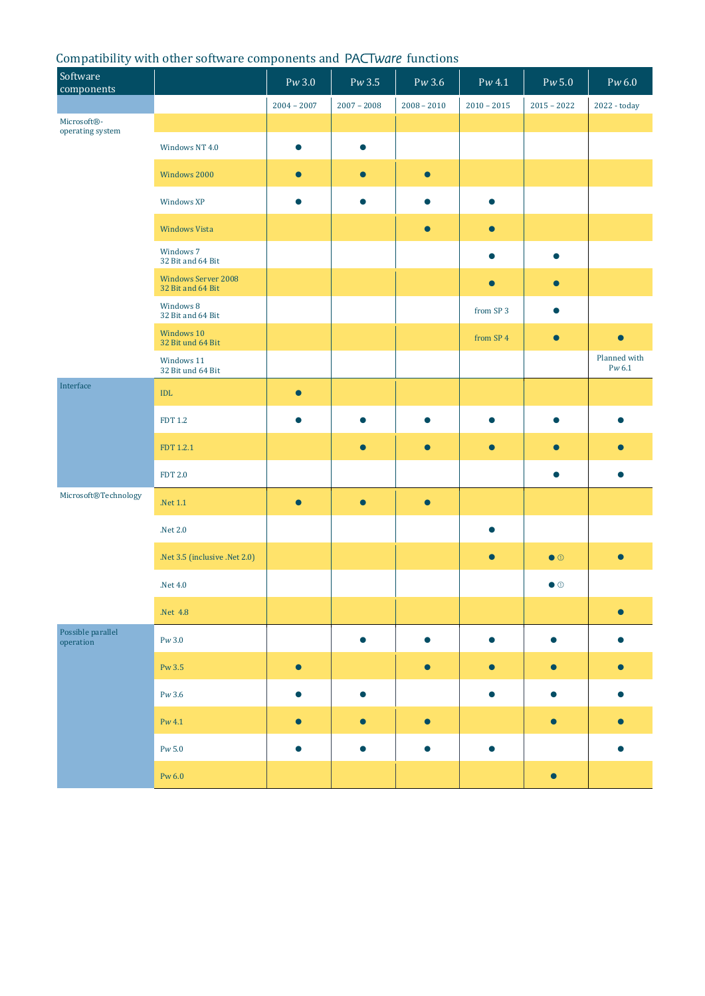#### Compatibility with other software components and PACTware functions

| Software<br>components          |                                                 | Pw3.0         | Pw3.5         | Pw 3.6        | $Pw$ 4.1             | Pw 5.0            | $Pw$ 6.0               |
|---------------------------------|-------------------------------------------------|---------------|---------------|---------------|----------------------|-------------------|------------------------|
|                                 |                                                 | $2004 - 2007$ | $2007 - 2008$ | $2008 - 2010$ | $2010 - 2015$        | $2015 - 2022$     | 2022 - today           |
| Microsoft®-<br>operating system |                                                 |               |               |               |                      |                   |                        |
|                                 | Windows NT 4.0                                  | $\bullet$     | $\bullet$     |               |                      |                   |                        |
|                                 | Windows 2000                                    | $\bullet$     | $\bullet$     | $\bullet$     |                      |                   |                        |
|                                 | Windows XP                                      | $\bullet$     | ●             | ●             | $\bullet$            |                   |                        |
|                                 | <b>Windows Vista</b>                            |               |               | $\bullet$     | $\bullet$            |                   |                        |
|                                 | Windows 7<br>32 Bit and 64 Bit                  |               |               |               | $\bullet$            | $\bullet$         |                        |
|                                 | <b>Windows Server 2008</b><br>32 Bit and 64 Bit |               |               |               | $\bullet$            | $\bullet$         |                        |
|                                 | Windows 8<br>32 Bit and 64 Bit                  |               |               |               | from SP <sub>3</sub> | $\bullet$         |                        |
|                                 | Windows 10<br>32 Bit und 64 Bit                 |               |               |               | from SP 4            | $\bullet$         |                        |
|                                 | Windows 11<br>32 Bit und 64 Bit                 |               |               |               |                      |                   | Planned with<br>Pw 6.1 |
| Interface                       | IDL                                             | $\bullet$     |               |               |                      |                   |                        |
|                                 | <b>FDT 1.2</b>                                  | $\bullet$     | $\bullet$     | $\bullet$     | $\bullet$            | $\bullet$         |                        |
|                                 | FDT 1.2.1                                       |               | $\bullet$     | $\bullet$     | $\bullet$            | $\bullet$         |                        |
|                                 | <b>FDT 2.0</b>                                  |               |               |               |                      | $\bullet$         |                        |
| Microsoft®Technology            | .Net 1.1                                        | $\bullet$     | $\bullet$     | $\bullet$     |                      |                   |                        |
|                                 | .<br>Net $2.0\,$                                |               |               |               | ●                    |                   |                        |
|                                 | .Net 3.5 (inclusive .Net 2.0)                   |               |               |               | $\bullet$            | $\bullet$ $\circ$ |                        |
|                                 | .<br>Net $4.0\,$                                |               |               |               |                      | $\bullet$ $\circ$ |                        |
|                                 | .Net 4.8                                        |               |               |               |                      |                   |                        |
| Possible parallel<br>operation  | Pw3.0                                           |               | $\bullet$     | $\bullet$     | $\bullet$            | $\bullet$         |                        |
|                                 | Pw 3.5                                          | $\bullet$     |               | $\bullet$     | $\bullet$            | $\bullet$         |                        |
|                                 | $\mathrm{P}w\,3.6$                              | $\bullet$     | $\bullet$     |               | $\bullet$            | $\bullet$         |                        |
|                                 | $Pw$ 4.1                                        | $\bullet$     | $\bullet$     | $\bullet$     |                      | $\bullet$         |                        |
|                                 | $\mathrm{P}w$ 5.0                               |               |               |               |                      |                   |                        |
|                                 | Pw $6.0$                                        |               |               |               |                      | $\bullet$         |                        |